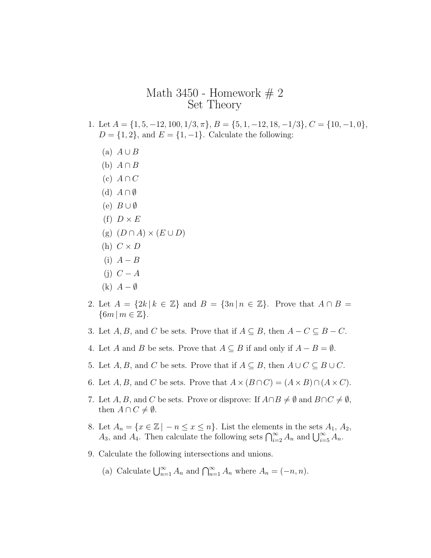## Math 3450 - Homework  $# 2$ Set Theory

- 1. Let  $A = \{1, 5, -12, 100, 1/3, \pi\}, B = \{5, 1, -12, 18, -1/3\}, C = \{10, -1, 0\},$  $D = \{1, 2\}$ , and  $E = \{1, -1\}$ . Calculate the following:
	- $(A)$   $A \cup B$
	- (b) *A ∩ B*
	- $(c)$  *A*  $\cap$  *C*
	- (d) *A ∩ ∅*
	- (e) *B ∪ ∅*
	- (f)  $D \times E$
	- $(g)$   $(D \cap A) \times (E \cup D)$
	- $(h)$   $C \times D$
	- $(i)$   $A B$
	- (j) *C − A*
	- (k) *A − ∅*
- 2. Let  $A = \{2k \mid k \in \mathbb{Z}\}\$  and  $B = \{3n \mid n \in \mathbb{Z}\}\$ . Prove that  $A \cap B =$ *{*6*m | m ∈* Z*}*.
- 3. Let  $A, B$ , and  $C$  be sets. Prove that if  $A \subseteq B$ , then  $A C \subseteq B C$ .
- 4. Let *A* and *B* be sets. Prove that  $A \subseteq B$  if and only if  $A B = \emptyset$ .
- 5. Let  $A, B$ , and  $C$  be sets. Prove that if  $A \subseteq B$ , then  $A \cup C \subseteq B \cup C$ .
- 6. Let *A*, *B*, and *C* be sets. Prove that  $A \times (B \cap C) = (A \times B) \cap (A \times C)$ .
- 7. Let *A*, *B*, and *C* be sets. Prove or disprove: If  $A \cap B \neq \emptyset$  and  $B \cap C \neq \emptyset$ , then  $A \cap C \neq \emptyset$ .
- 8. Let  $A_n = \{x \in \mathbb{Z} \mid -n \leq x \leq n\}$ . List the elements in the sets  $A_1, A_2$ , *A*<sub>3</sub>, and *A*<sub>4</sub>. Then calculate the following sets  $\bigcap_{i=2}^{\infty} A_i$  and  $\bigcup_{i=5}^{\infty} A_i$ .
- 9. Calculate the following intersections and unions.
	- (a) Calculate  $\bigcup_{n=1}^{\infty} A_n$  and  $\bigcap_{n=1}^{\infty} A_n$  where  $A_n = (-n, n)$ .